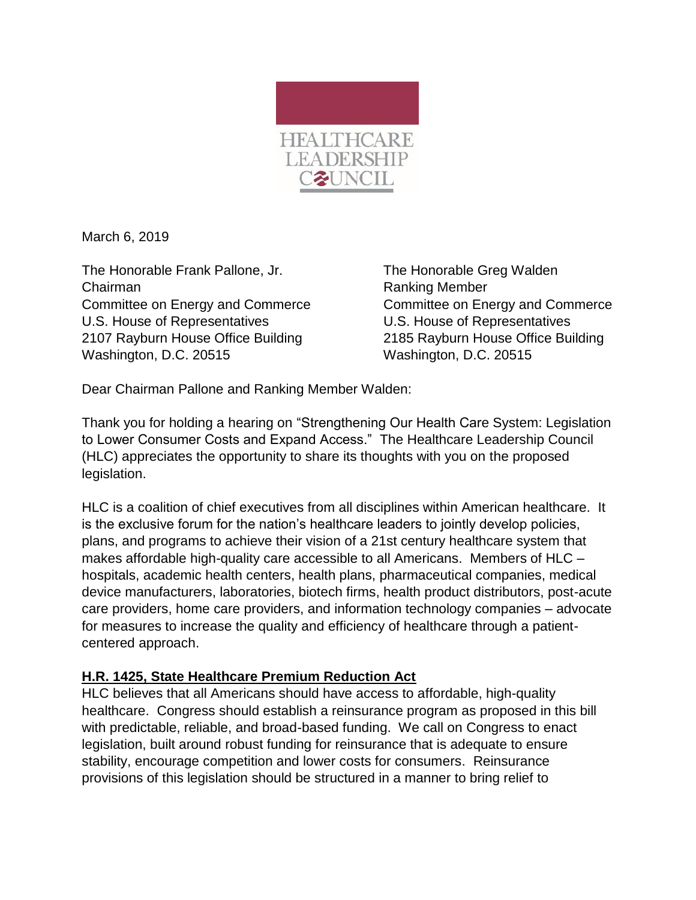

March 6, 2019

The Honorable Frank Pallone, Jr. The Honorable Greg Walden Chairman **Chairman** Ranking Member Committee on Energy and Commerce Committee on Energy and Commerce U.S. House of Representatives U.S. House of Representatives 2107 Rayburn House Office Building 2185 Rayburn House Office Building Washington, D.C. 20515 Washington, D.C. 20515

Dear Chairman Pallone and Ranking Member Walden:

Thank you for holding a hearing on "Strengthening Our Health Care System: Legislation to Lower Consumer Costs and Expand Access." The Healthcare Leadership Council (HLC) appreciates the opportunity to share its thoughts with you on the proposed legislation.

HLC is a coalition of chief executives from all disciplines within American healthcare. It is the exclusive forum for the nation's healthcare leaders to jointly develop policies, plans, and programs to achieve their vision of a 21st century healthcare system that makes affordable high-quality care accessible to all Americans. Members of HLC – hospitals, academic health centers, health plans, pharmaceutical companies, medical device manufacturers, laboratories, biotech firms, health product distributors, post-acute care providers, home care providers, and information technology companies – advocate for measures to increase the quality and efficiency of healthcare through a patientcentered approach.

## **H.R. 1425, State Healthcare Premium Reduction Act**

HLC believes that all Americans should have access to affordable, high-quality healthcare. Congress should establish a reinsurance program as proposed in this bill with predictable, reliable, and broad-based funding. We call on Congress to enact legislation, built around robust funding for reinsurance that is adequate to ensure stability, encourage competition and lower costs for consumers. Reinsurance provisions of this legislation should be structured in a manner to bring relief to